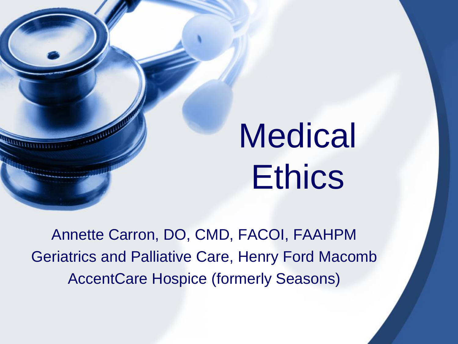# **Medical Ethics**

Annette Carron, DO, CMD, FACOI, FAAHPM Geriatrics and Palliative Care, Henry Ford Macomb AccentCare Hospice (formerly Seasons)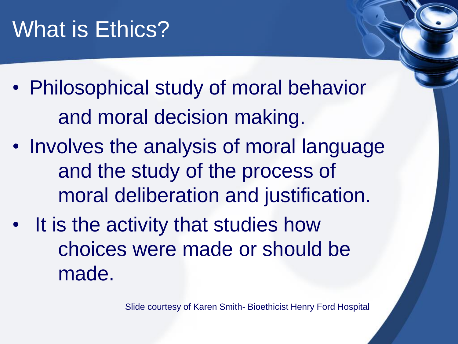#### What is Ethics?

- Philosophical study of moral behavior and moral decision making.
- Involves the analysis of moral language and the study of the process of moral deliberation and justification.
- It is the activity that studies how choices were made or should be made.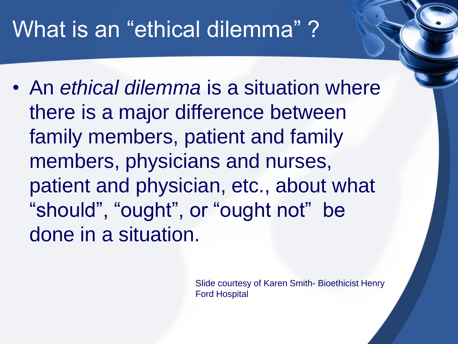#### What is an "ethical dilemma"?

• An *ethical dilemma* is a situation where there is a major difference between family members, patient and family members, physicians and nurses, patient and physician, etc., about what "should", "ought", or "ought not" be done in a situation.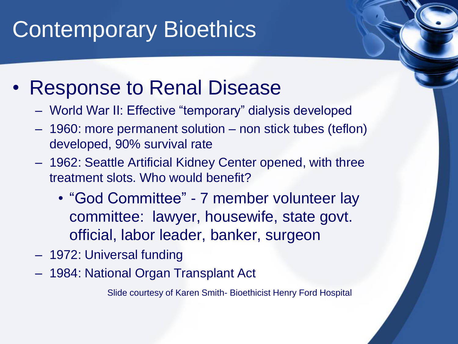#### Contemporary Bioethics

- Response to Renal Disease
	- World War II: Effective "temporary" dialysis developed
	- 1960: more permanent solution non stick tubes (teflon) developed, 90% survival rate
	- 1962: Seattle Artificial Kidney Center opened, with three treatment slots. Who would benefit?
		- "God Committee" 7 member volunteer lay committee: lawyer, housewife, state govt. official, labor leader, banker, surgeon
	- 1972: Universal funding
	- 1984: National Organ Transplant Act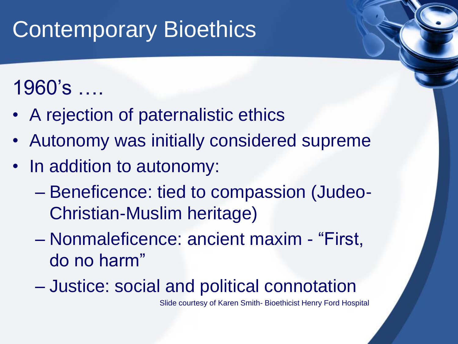## **Contemporary Bioethics**

#### 1960's ….

- A rejection of paternalistic ethics
- Autonomy was initially considered supreme
- In addition to autonomy:
	- Beneficence: tied to compassion (Judeo-Christian-Muslim heritage)
	- Nonmaleficence: ancient maxim "First, do no harm"
	- Justice: social and political connotation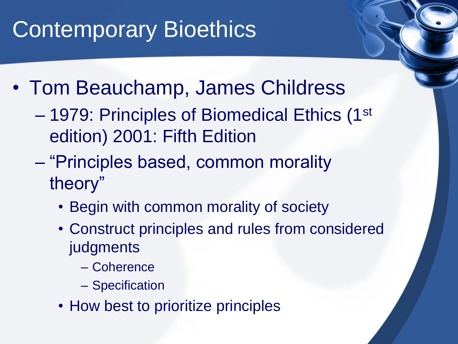## Contemporary Bioethics

- Tom Beauchamp, James Childress
	- 1979: Principles of Biomedical Ethics (1st edition) 2001: Fifth Edition
	- "Principles based, common morality theory"
		- Begin with common morality of society
		- Construct principles and rules from considered judgments
			- Coherence
			- Specification
		- How best to prioritize principles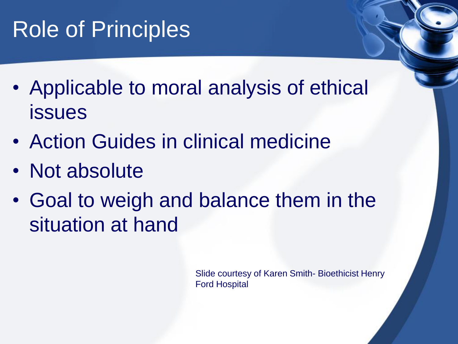#### Role of Principles

- Applicable to moral analysis of ethical issues
- Action Guides in clinical medicine
- Not absolute
- Goal to weigh and balance them in the situation at hand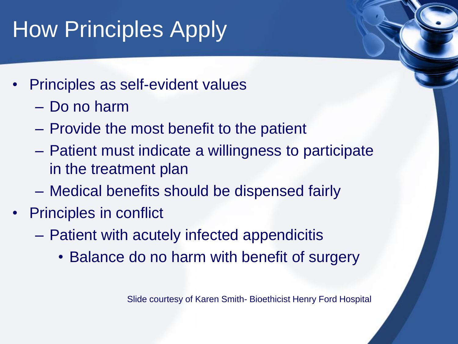# **How Principles Apply**

- Principles as self-evident values
	- Do no harm
	- Provide the most benefit to the patient
	- Patient must indicate a willingness to participate in the treatment plan
	- Medical benefits should be dispensed fairly
- Principles in conflict
	- Patient with acutely infected appendicitis
		- Balance do no harm with benefit of surgery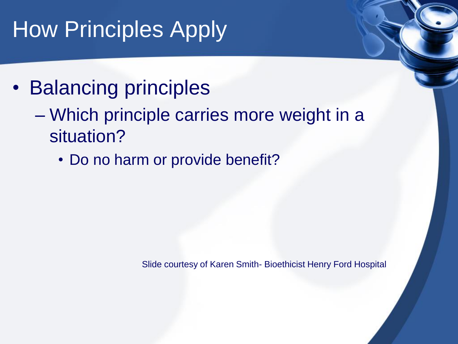# How Principles Apply

- Balancing principles
	- Which principle carries more weight in a situation?
		- Do no harm or provide benefit?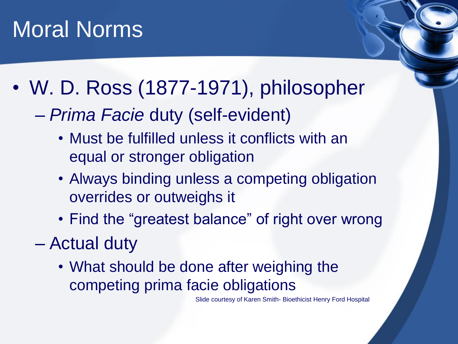#### Moral Norms

- W. D. Ross (1877-1971), philosopher
	- *Prima Facie* duty (self-evident)
		- Must be fulfilled unless it conflicts with an equal or stronger obligation
		- Always binding unless a competing obligation overrides or outweighs it
		- Find the "greatest balance" of right over wrong
	- Actual duty
		- What should be done after weighing the competing prima facie obligations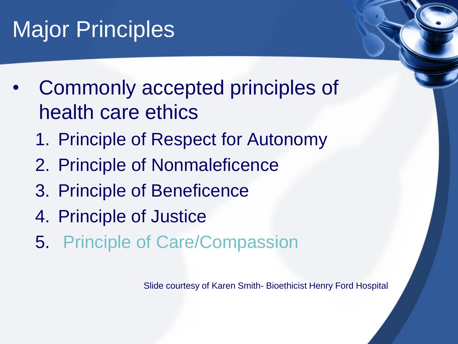## Major Principles

- Commonly accepted principles of health care ethics
	- 1. Principle of Respect for Autonomy
	- 2. Principle of Nonmaleficence
	- 3. Principle of Beneficence
	- 4. Principle of Justice
	- 5. Principle of Care/Compassion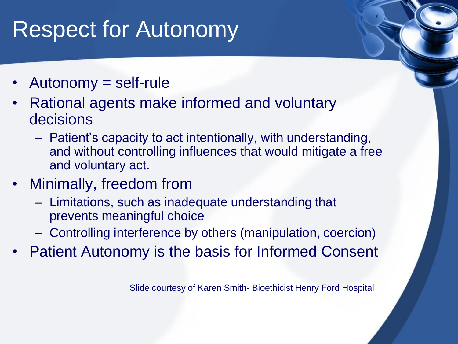#### Respect for Autonomy

- Autonomy = self-rule
- Rational agents make informed and voluntary decisions
	- Patient's capacity to act intentionally, with understanding, and without controlling influences that would mitigate a free and voluntary act.
- Minimally, freedom from
	- Limitations, such as inadequate understanding that prevents meaningful choice
	- Controlling interference by others (manipulation, coercion)
- Patient Autonomy is the basis for Informed Consent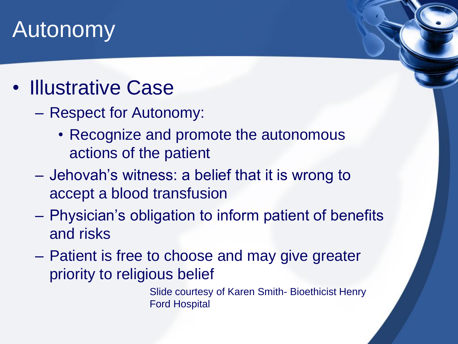#### Autonomy

- Illustrative Case
	- Respect for Autonomy:
		- Recognize and promote the autonomous actions of the patient
	- Jehovah's witness: a belief that it is wrong to accept a blood transfusion
	- Physician's obligation to inform patient of benefits and risks
	- Patient is free to choose and may give greater priority to religious belief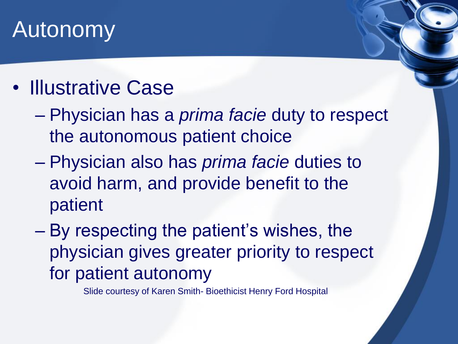#### Autonomy

- Illustrative Case
	- Physician has a *prima facie* duty to respect the autonomous patient choice
	- Physician also has *prima facie* duties to avoid harm, and provide benefit to the patient
	- By respecting the patient's wishes, the physician gives greater priority to respect for patient autonomy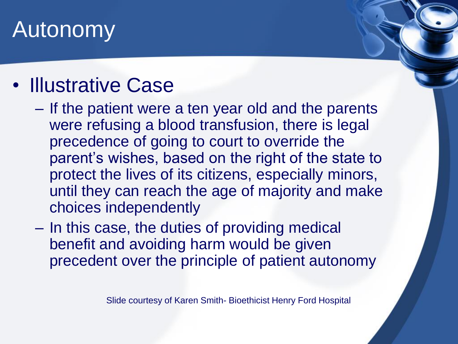#### Autonomy

#### • Illustrative Case

- If the patient were a ten year old and the parents were refusing a blood transfusion, there is legal precedence of going to court to override the parent's wishes, based on the right of the state to protect the lives of its citizens, especially minors, until they can reach the age of majority and make choices independently
- In this case, the duties of providing medical benefit and avoiding harm would be given precedent over the principle of patient autonomy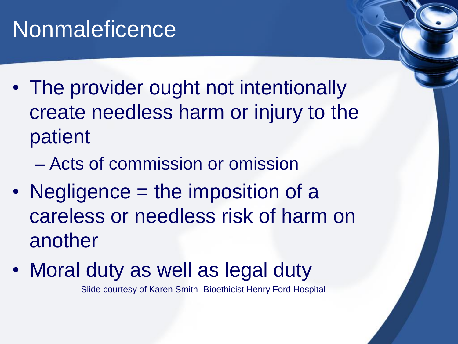#### **Nonmaleficence**

- The provider ought not intentionally create needless harm or injury to the patient
	- Acts of commission or omission
- Negligence = the imposition of a careless or needless risk of harm on another
- Moral duty as well as legal duty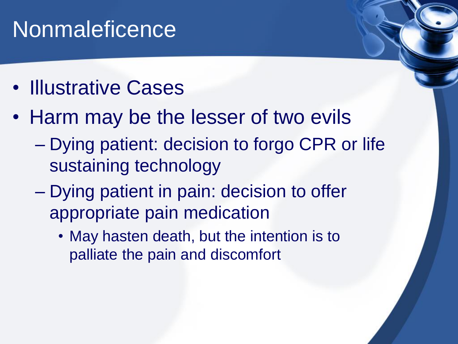#### **Nonmaleficence**

- Illustrative Cases
- Harm may be the lesser of two evils
	- Dying patient: decision to forgo CPR or life sustaining technology
	- Dying patient in pain: decision to offer appropriate pain medication
		- May hasten death, but the intention is to palliate the pain and discomfort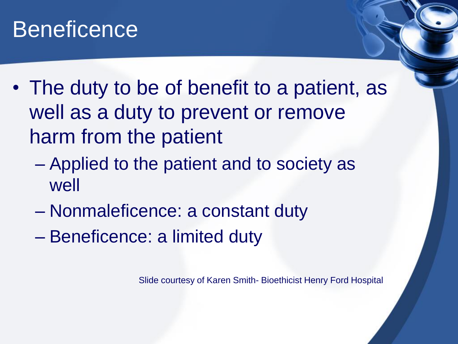- The duty to be of benefit to a patient, as well as a duty to prevent or remove harm from the patient
	- Applied to the patient and to society as well
	- Nonmaleficence: a constant duty
	- Beneficence: a limited duty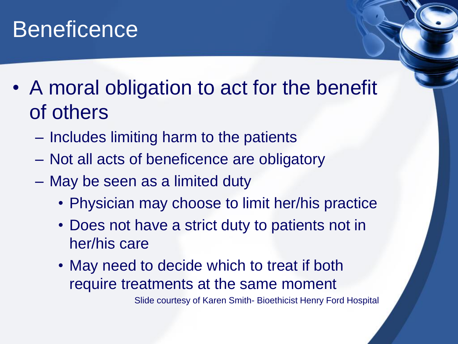- A moral obligation to act for the benefit of others
	- Includes limiting harm to the patients
	- Not all acts of beneficence are obligatory
	- May be seen as a limited duty
		- Physician may choose to limit her/his practice
		- Does not have a strict duty to patients not in her/his care
		- May need to decide which to treat if both require treatments at the same moment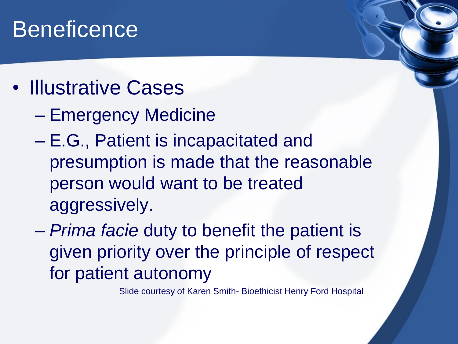- Illustrative Cases
	- Emergency Medicine
	- E.G., Patient is incapacitated and presumption is made that the reasonable person would want to be treated aggressively.
	- *Prima facie* duty to benefit the patient is given priority over the principle of respect for patient autonomy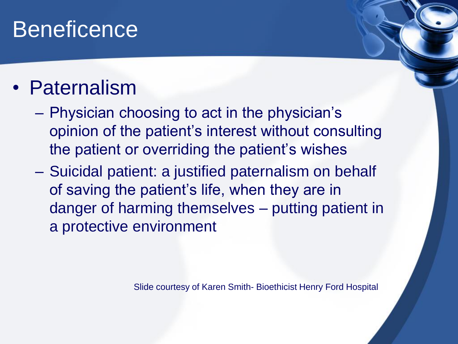#### • Paternalism

- Physician choosing to act in the physician's opinion of the patient's interest without consulting the patient or overriding the patient's wishes
- Suicidal patient: a justified paternalism on behalf of saving the patient's life, when they are in danger of harming themselves – putting patient in a protective environment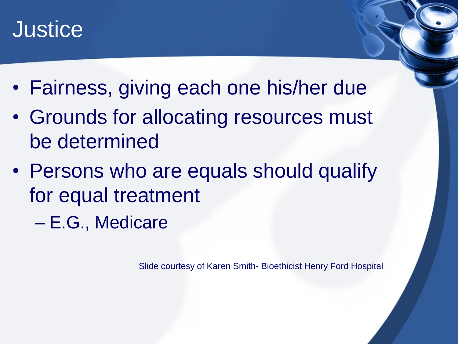#### **Justice**

- Fairness, giving each one his/her due
- Grounds for allocating resources must be determined
- Persons who are equals should qualify for equal treatment
	- E.G., Medicare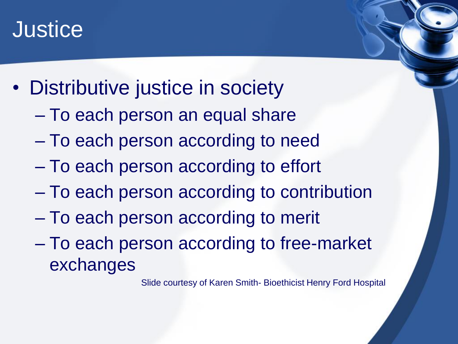#### **Justice**

- Distributive justice in society
	- To each person an equal share
	- To each person according to need
	- To each person according to effort
	- To each person according to contribution
	- To each person according to merit
	- To each person according to free-market exchanges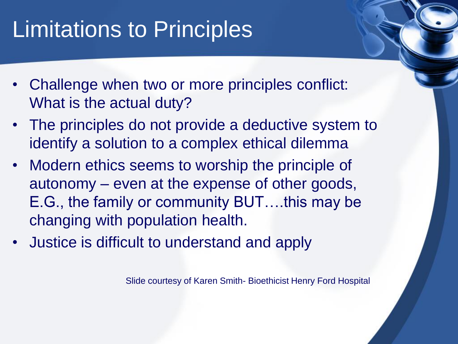## Limitations to Principles

- Challenge when two or more principles conflict: What is the actual duty?
- The principles do not provide a deductive system to identify a solution to a complex ethical dilemma
- Modern ethics seems to worship the principle of autonomy – even at the expense of other goods, E.G., the family or community BUT….this may be changing with population health.
- Justice is difficult to understand and apply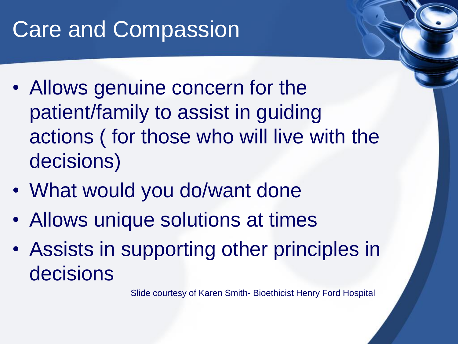#### Care and Compassion

- Allows genuine concern for the patient/family to assist in guiding actions ( for those who will live with the decisions)
- What would you do/want done
- Allows unique solutions at times
- Assists in supporting other principles in decisions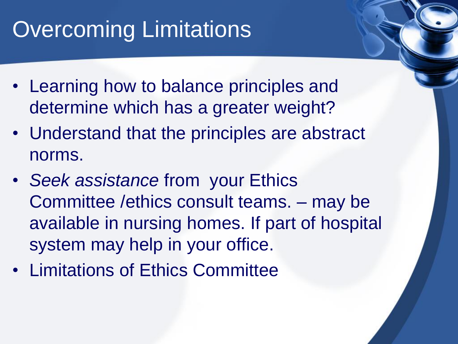## **Overcoming Limitations**

- Learning how to balance principles and determine which has a greater weight?
- Understand that the principles are abstract norms.
- *Seek assistance* from your Ethics Committee /ethics consult teams. – may be available in nursing homes. If part of hospital system may help in your office.
- Limitations of Ethics Committee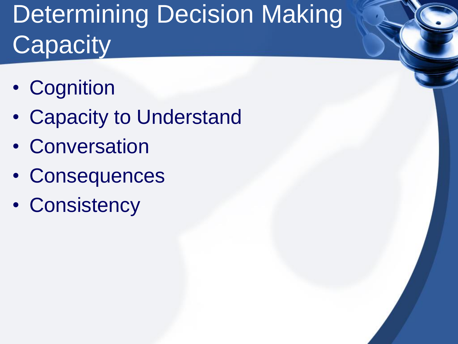# Determining Decision Making **Capacity**

- Cognition
- Capacity to Understand
- Conversation
- Consequences
- Consistency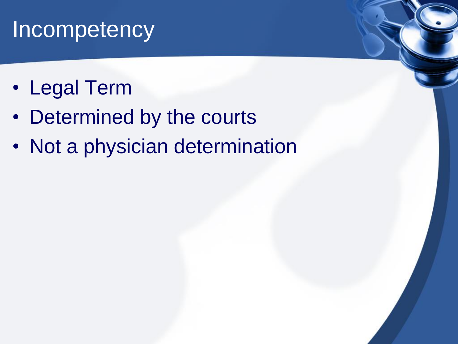#### **Incompetency**

- Legal Term
- Determined by the courts
- Not a physician determination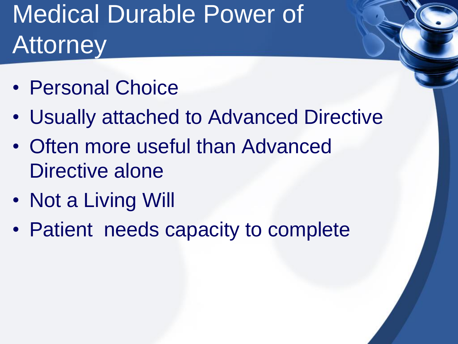# Medical Durable Power of **Attorney**

- Personal Choice
- Usually attached to Advanced Directive
- Often more useful than Advanced Directive alone
- Not a Living Will
- Patient needs capacity to complete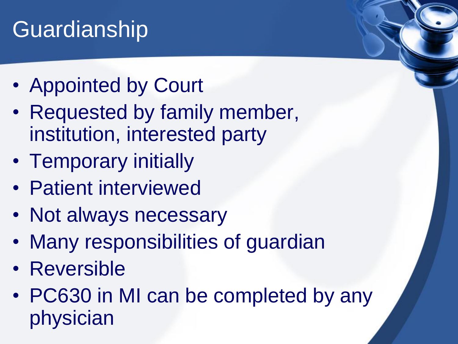# Guardianship

- Appointed by Court
- Requested by family member, institution, interested party
- Temporary initially
- Patient interviewed
- Not always necessary
- Many responsibilities of guardian
- Reversible
- PC630 in MI can be completed by any physician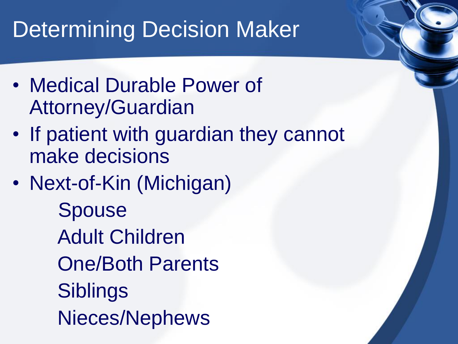#### Determining Decision Maker

- Medical Durable Power of Attorney/Guardian
- If patient with guardian they cannot make decisions
- Next-of-Kin (Michigan) Spouse Adult Children One/Both Parents **Siblings** Nieces/Nephews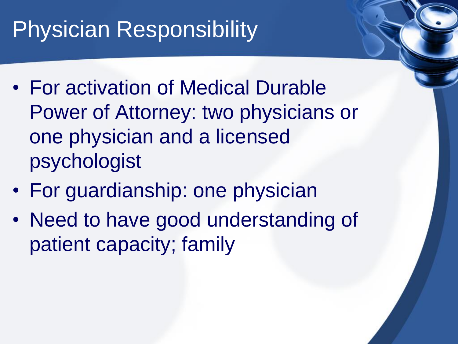## Physician Responsibility

- For activation of Medical Durable Power of Attorney: two physicians or one physician and a licensed psychologist
- For guardianship: one physician
- Need to have good understanding of patient capacity; family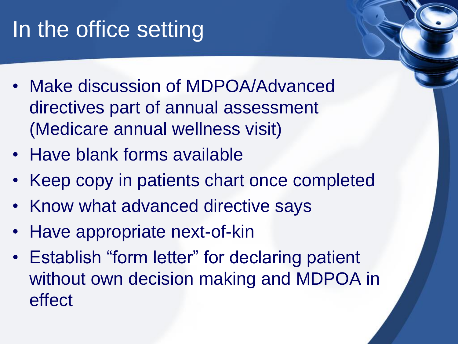# In the office setting

- Make discussion of MDPOA/Advanced directives part of annual assessment (Medicare annual wellness visit)
- Have blank forms available
- Keep copy in patients chart once completed
- Know what advanced directive says
- Have appropriate next-of-kin
- Establish "form letter" for declaring patient without own decision making and MDPOA in effect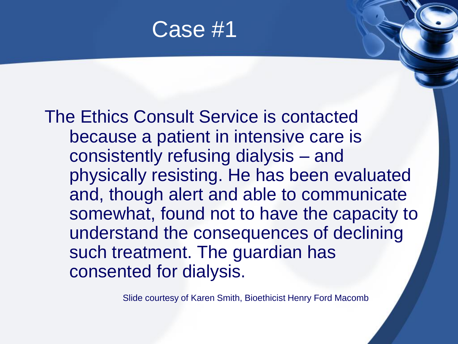Case #1

The Ethics Consult Service is contacted because a patient in intensive care is consistently refusing dialysis – and physically resisting. He has been evaluated and, though alert and able to communicate somewhat, found not to have the capacity to understand the consequences of declining such treatment. The guardian has consented for dialysis.

Slide courtesy of Karen Smith, Bioethicist Henry Ford Macomb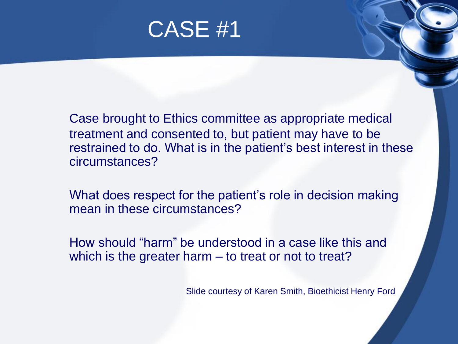

Case brought to Ethics committee as appropriate medical treatment and consented to, but patient may have to be restrained to do. What is in the patient's best interest in these circumstances?

What does respect for the patient's role in decision making mean in these circumstances?

How should "harm" be understood in a case like this and which is the greater harm – to treat or not to treat?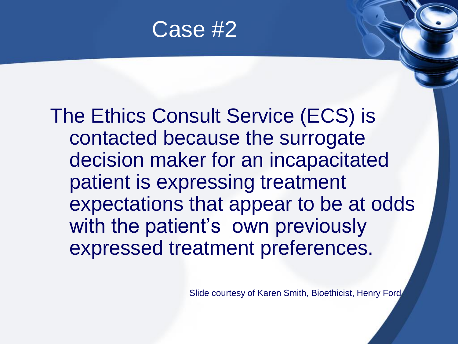

The Ethics Consult Service (ECS) is contacted because the surrogate decision maker for an incapacitated patient is expressing treatment expectations that appear to be at odds with the patient's own previously expressed treatment preferences.

Slide courtesy of Karen Smith, Bioethicist, Henry Ford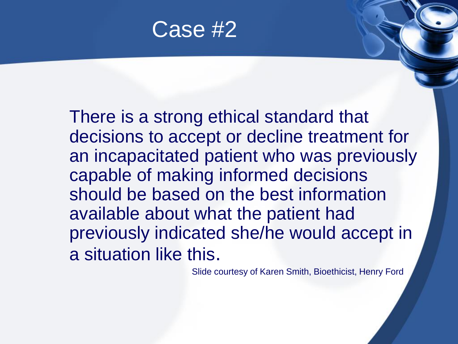

There is a strong ethical standard that decisions to accept or decline treatment for an incapacitated patient who was previously capable of making informed decisions should be based on the best information available about what the patient had previously indicated she/he would accept in a situation like this.

Slide courtesy of Karen Smith, Bioethicist, Henry Ford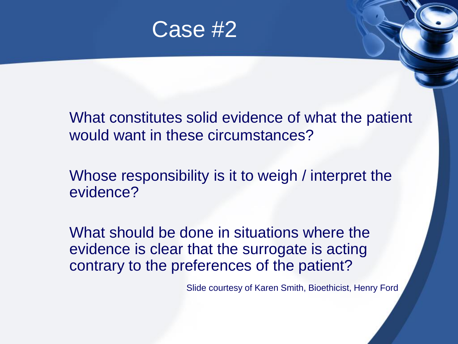

What constitutes solid evidence of what the patient would want in these circumstances?

Whose responsibility is it to weigh / interpret the evidence?

What should be done in situations where the evidence is clear that the surrogate is acting contrary to the preferences of the patient?

Slide courtesy of Karen Smith, Bioethicist, Henry Ford